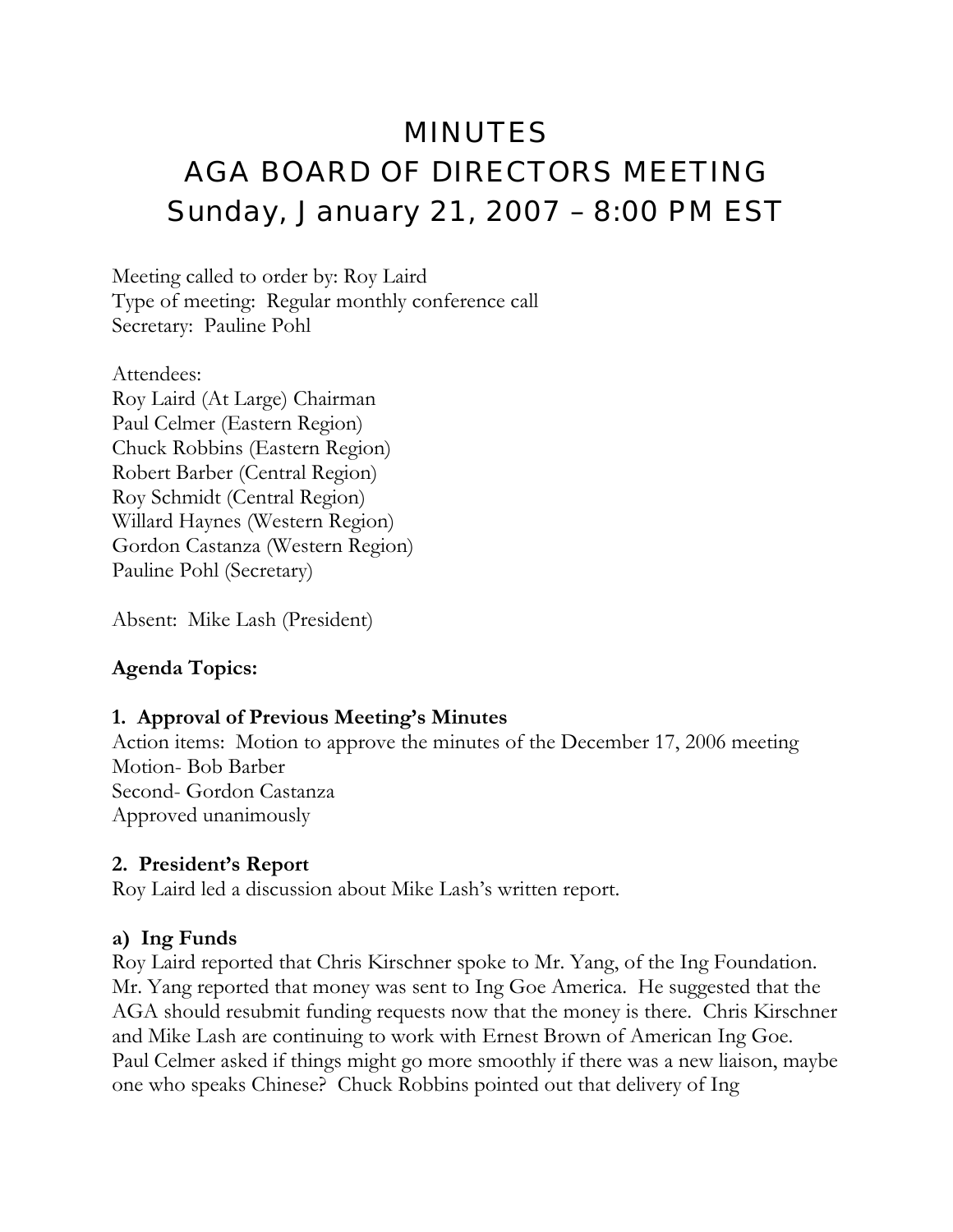# MINUTES AGA BOARD OF DIRECTORS MEETING Sunday, January 21, 2007 – 8:00 PM EST

Meeting called to order by: Roy Laird Type of meeting: Regular monthly conference call Secretary: Pauline Pohl

Attendees: Roy Laird (At Large) Chairman Paul Celmer (Eastern Region) Chuck Robbins (Eastern Region) Robert Barber (Central Region) Roy Schmidt (Central Region) Willard Haynes (Western Region) Gordon Castanza (Western Region) Pauline Pohl (Secretary)

Absent: Mike Lash (President)

#### **Agenda Topics:**

#### **1. Approval of Previous Meeting's Minutes**

Action items: Motion to approve the minutes of the December 17, 2006 meeting Motion- Bob Barber Second- Gordon Castanza Approved unanimously

#### **2. President's Report**

Roy Laird led a discussion about Mike Lash's written report.

#### **a) Ing Funds**

Roy Laird reported that Chris Kirschner spoke to Mr. Yang, of the Ing Foundation. Mr. Yang reported that money was sent to Ing Goe America. He suggested that the AGA should resubmit funding requests now that the money is there. Chris Kirschner and Mike Lash are continuing to work with Ernest Brown of American Ing Goe. Paul Celmer asked if things might go more smoothly if there was a new liaison, maybe one who speaks Chinese? Chuck Robbins pointed out that delivery of Ing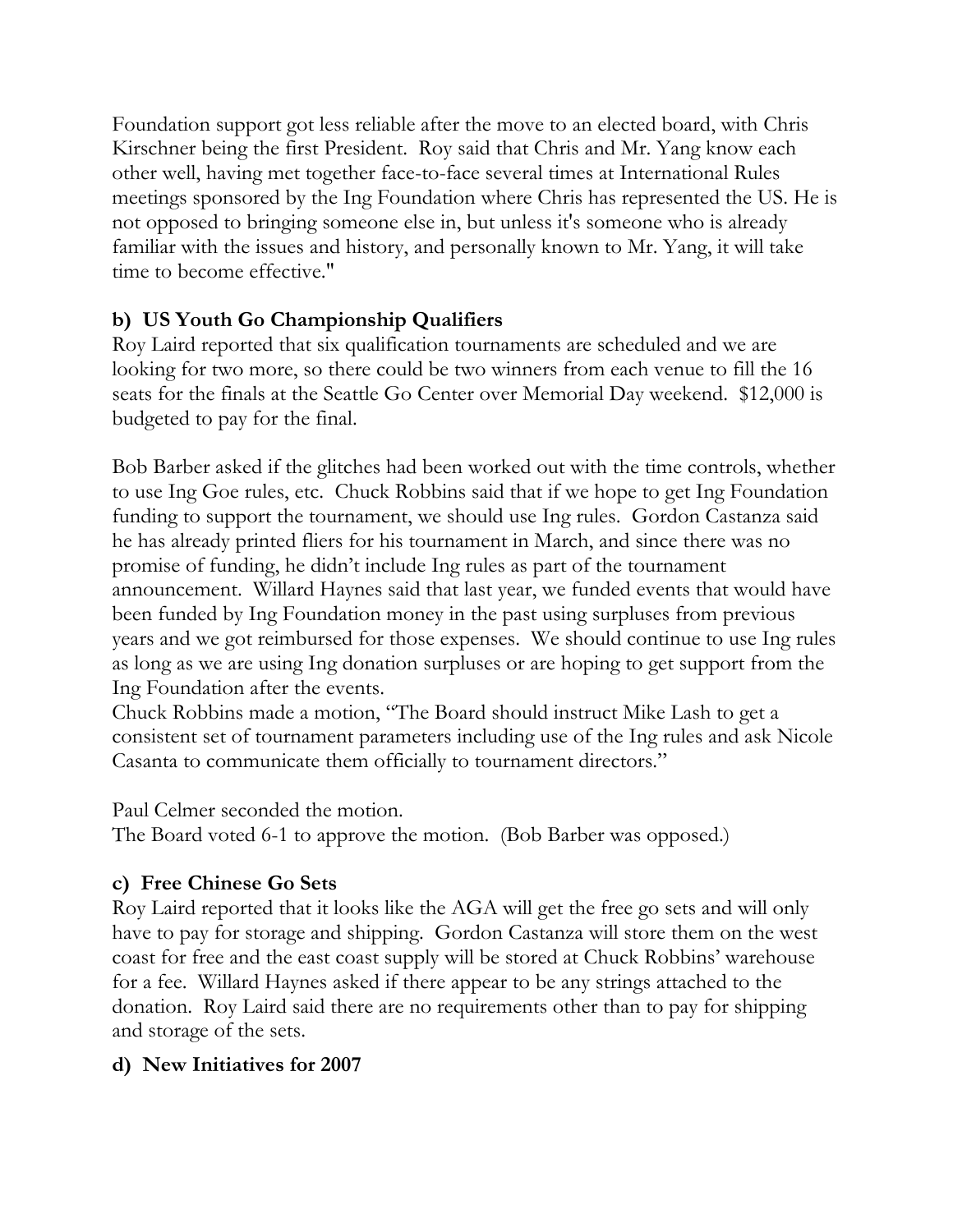Foundation support got less reliable after the move to an elected board, with Chris Kirschner being the first President. Roy said that Chris and Mr. Yang know each other well, having met together face-to-face several times at International Rules meetings sponsored by the Ing Foundation where Chris has represented the US. He is not opposed to bringing someone else in, but unless it's someone who is already familiar with the issues and history, and personally known to Mr. Yang, it will take time to become effective."

# **b) US Youth Go Championship Qualifiers**

Roy Laird reported that six qualification tournaments are scheduled and we are looking for two more, so there could be two winners from each venue to fill the 16 seats for the finals at the Seattle Go Center over Memorial Day weekend. \$12,000 is budgeted to pay for the final.

Bob Barber asked if the glitches had been worked out with the time controls, whether to use Ing Goe rules, etc. Chuck Robbins said that if we hope to get Ing Foundation funding to support the tournament, we should use Ing rules. Gordon Castanza said he has already printed fliers for his tournament in March, and since there was no promise of funding, he didn't include Ing rules as part of the tournament announcement. Willard Haynes said that last year, we funded events that would have been funded by Ing Foundation money in the past using surpluses from previous years and we got reimbursed for those expenses. We should continue to use Ing rules as long as we are using Ing donation surpluses or are hoping to get support from the Ing Foundation after the events.

Chuck Robbins made a motion, "The Board should instruct Mike Lash to get a consistent set of tournament parameters including use of the Ing rules and ask Nicole Casanta to communicate them officially to tournament directors."

Paul Celmer seconded the motion.

The Board voted 6-1 to approve the motion. (Bob Barber was opposed.)

# **c) Free Chinese Go Sets**

Roy Laird reported that it looks like the AGA will get the free go sets and will only have to pay for storage and shipping. Gordon Castanza will store them on the west coast for free and the east coast supply will be stored at Chuck Robbins' warehouse for a fee. Willard Haynes asked if there appear to be any strings attached to the donation. Roy Laird said there are no requirements other than to pay for shipping and storage of the sets.

# **d) New Initiatives for 2007**